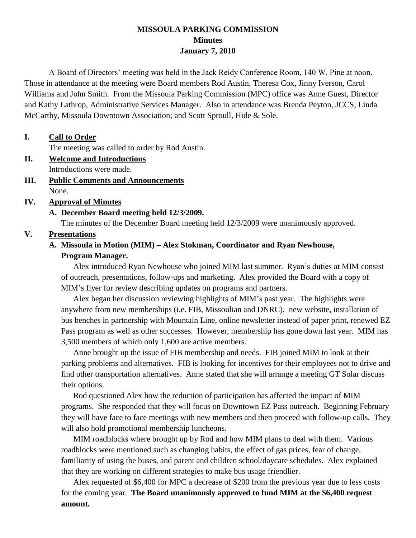#### **MISSOULA PARKING COMMISSION Minutes January 7, 2010**

A Board of Directors' meeting was held in the Jack Reidy Conference Room, 140 W. Pine at noon. Those in attendance at the meeting were Board members Rod Austin, Theresa Cox, Jinny Iverson, Carol Williams and John Smith. From the Missoula Parking Commission (MPC) office was Anne Guest, Director and Kathy Lathrop, Administrative Services Manager. Also in attendance was Brenda Peyton, JCCS; Linda McCarthy, Missoula Downtown Association; and Scott Sproull, Hide & Sole.

#### **I. Call to Order**

The meeting was called to order by Rod Austin.

- **II. Welcome and Introductions** Introductions were made.
- **III. Public Comments and Announcements** None.

#### **IV. Approval of Minutes**

# **A. December Board meeting held 12/3/2009.**

The minutes of the December Board meeting held 12/3/2009 were unanimously approved.

#### **V. Presentations**

## **A. Missoula in Motion (MIM) – Alex Stokman, Coordinator and Ryan Newhouse,**

#### **Program Manager.**

Alex introduced Ryan Newhouse who joined MIM last summer. Ryan's duties at MIM consist of outreach, presentations, follow-ups and marketing. Alex provided the Board with a copy of MIM's flyer for review describing updates on programs and partners.

Alex began her discussion reviewing highlights of MIM's past year. The highlights were anywhere from new memberships (i.e. FIB, Missoulian and DNRC), new website, installation of bus benches in partnership with Mountain Line, online newsletter instead of paper print, renewed EZ Pass program as well as other successes. However, membership has gone down last year. MIM has 3,500 members of which only 1,600 are active members.

Anne brought up the issue of FIB membership and needs. FIB joined MIM to look at their parking problems and alternatives. FIB is looking for incentives for their employees not to drive and find other transportation alternatives. Anne stated that she will arrange a meeting GT Solar discuss their options.

Rod questioned Alex how the reduction of participation has affected the impact of MIM programs. She responded that they will focus on Downtown EZ Pass outreach. Beginning February they will have face to face meetings with new members and then proceed with follow-up calls. They will also hold promotional membership luncheons.

MIM roadblocks where brought up by Rod and how MIM plans to deal with them. Various roadblocks were mentioned such as changing habits, the effect of gas prices, fear of change, familiarity of using the buses, and parent and children school/daycare schedules. Alex explained that they are working on different strategies to make bus usage friendlier.

Alex requested of \$6,400 for MPC a decrease of \$200 from the previous year due to less costs for the coming year. **The Board unanimously approved to fund MIM at the \$6,400 request amount.**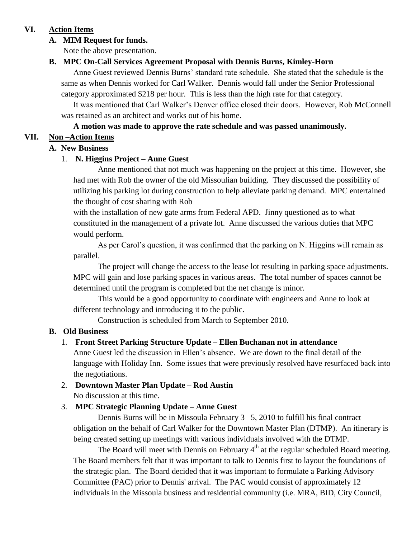## **VI. Action Items**

### **A. MIM Request for funds.**

Note the above presentation.

### **B. MPC On-Call Services Agreement Proposal with Dennis Burns, Kimley-Horn**

Anne Guest reviewed Dennis Burns' standard rate schedule. She stated that the schedule is the same as when Dennis worked for Carl Walker. Dennis would fall under the Senior Professional category approximated \$218 per hour. This is less than the high rate for that category.

It was mentioned that Carl Walker's Denver office closed their doors. However, Rob McConnell was retained as an architect and works out of his home.

#### **A motion was made to approve the rate schedule and was passed unanimously.**

#### **VII. Non –Action Items**

#### **A. New Business**

#### 1. **N. Higgins Project – Anne Guest**

Anne mentioned that not much was happening on the project at this time. However, she had met with Rob the owner of the old Missoulian building. They discussed the possibility of utilizing his parking lot during construction to help alleviate parking demand. MPC entertained the thought of cost sharing with Rob

with the installation of new gate arms from Federal APD. Jinny questioned as to what constituted in the management of a private lot. Anne discussed the various duties that MPC would perform.

As per Carol's question, it was confirmed that the parking on N. Higgins will remain as parallel.

The project will change the access to the lease lot resulting in parking space adjustments. MPC will gain and lose parking spaces in various areas. The total number of spaces cannot be determined until the program is completed but the net change is minor.

This would be a good opportunity to coordinate with engineers and Anne to look at different technology and introducing it to the public.

Construction is scheduled from March to September 2010.

## **B. Old Business**

## 1. **Front Street Parking Structure Update – Ellen Buchanan not in attendance**

Anne Guest led the discussion in Ellen's absence. We are down to the final detail of the language with Holiday Inn. Some issues that were previously resolved have resurfaced back into the negotiations.

#### 2. **Downtown Master Plan Update – Rod Austin** No discussion at this time.

## 3. **MPC Strategic Planning Update – Anne Guest**

Dennis Burns will be in Missoula February 3– 5, 2010 to fulfill his final contract obligation on the behalf of Carl Walker for the Downtown Master Plan (DTMP). An itinerary is being created setting up meetings with various individuals involved with the DTMP.

The Board will meet with Dennis on February  $4<sup>th</sup>$  at the regular scheduled Board meeting. The Board members felt that it was important to talk to Dennis first to layout the foundations of the strategic plan. The Board decided that it was important to formulate a Parking Advisory Committee (PAC) prior to Dennis' arrival. The PAC would consist of approximately 12 individuals in the Missoula business and residential community (i.e. MRA, BID, City Council,